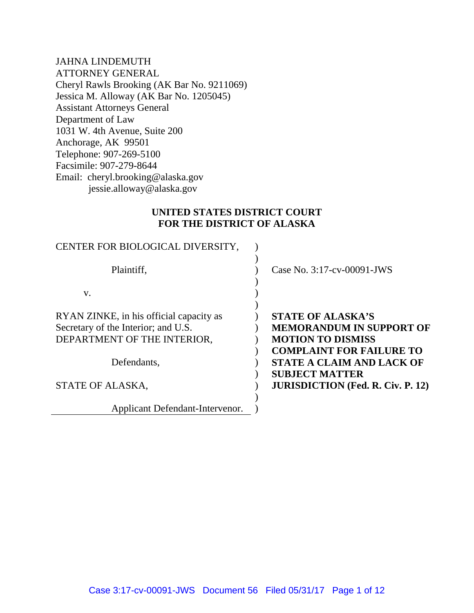JAHNA LINDEMUTH ATTORNEY GENERAL Cheryl Rawls Brooking (AK Bar No. 9211069) Jessica M. Alloway (AK Bar No. 1205045) Assistant Attorneys General Department of Law 1031 W. 4th Avenue, Suite 200 Anchorage, AK 99501 Telephone: 907-269-5100 Facsimile: 907-279-8644 Email: cheryl.brooking@alaska.gov jessie.alloway@alaska.gov

## **UNITED STATES DISTRICT COURT FOR THE DISTRICT OF ALASKA**

| CENTER FOR BIOLOGICAL DIVERSITY,        |                                          |
|-----------------------------------------|------------------------------------------|
| Plaintiff,                              | Case No. 3:17-cv-00091-JWS               |
| V.                                      |                                          |
| RYAN ZINKE, in his official capacity as | <b>STATE OF ALASKA'S</b>                 |
| Secretary of the Interior; and U.S.     | <b>MEMORANDUM IN SUPPORT OF</b>          |
| DEPARTMENT OF THE INTERIOR,             | <b>MOTION TO DISMISS</b>                 |
|                                         | <b>COMPLAINT FOR FAILURE TO</b>          |
| Defendants,                             | <b>STATE A CLAIM AND LACK OF</b>         |
|                                         | <b>SUBJECT MATTER</b>                    |
| STATE OF ALASKA,                        | <b>JURISDICTION (Fed. R. Civ. P. 12)</b> |
|                                         |                                          |
| Applicant Defendant-Intervenor.         |                                          |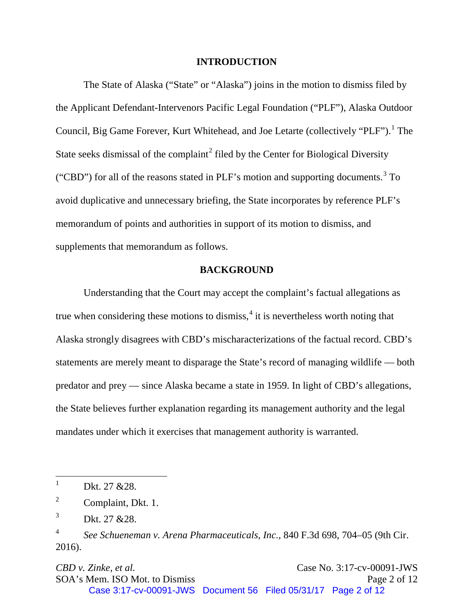#### **INTRODUCTION**

The State of Alaska ("State" or "Alaska") joins in the motion to dismiss filed by the Applicant Defendant-Intervenors Pacific Legal Foundation ("PLF"), Alaska Outdoor Council, Big Game Forever, Kurt Whitehead, and Joe Letarte (collectively "PLF").<sup>[1](#page-1-0)</sup> The State seeks dismissal of the complaint<sup>[2](#page-1-1)</sup> filed by the Center for Biological Diversity ("CBD") for all of the reasons stated in PLF's motion and supporting documents.<sup>[3](#page-1-2)</sup> To avoid duplicative and unnecessary briefing, the State incorporates by reference PLF's memorandum of points and authorities in support of its motion to dismiss, and supplements that memorandum as follows.

### **BACKGROUND**

Understanding that the Court may accept the complaint's factual allegations as true when considering these motions to dismiss, $<sup>4</sup>$  $<sup>4</sup>$  $<sup>4</sup>$  it is nevertheless worth noting that</sup> Alaska strongly disagrees with CBD's mischaracterizations of the factual record. CBD's statements are merely meant to disparage the State's record of managing wildlife — both predator and prey — since Alaska became a state in 1959. In light of CBD's allegations, the State believes further explanation regarding its management authority and the legal mandates under which it exercises that management authority is warranted.

*CBD v. Zinke, et al.* **Case No. 3:17-cv-00091-JWS** SOA's Mem. ISO Mot. to Dismiss Page 2 of 12 Case 3:17-cv-00091-JWS Document 56 Filed 05/31/17 Page 2 of 12

<span id="page-1-0"></span> $\mathbf{1}$ Dkt. 27 &28.

<span id="page-1-1"></span><sup>&</sup>lt;sup>2</sup> Complaint, Dkt. 1.

<span id="page-1-2"></span> $3$  Dkt. 27 & 28.

<span id="page-1-3"></span><sup>4</sup> *See Schueneman v. Arena Pharmaceuticals, Inc.*, 840 F.3d 698, 704–05 (9th Cir. 2016).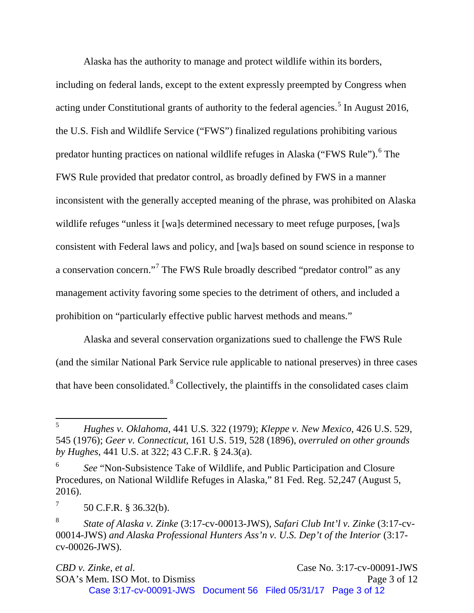Alaska has the authority to manage and protect wildlife within its borders, including on federal lands, except to the extent expressly preempted by Congress when acting under Constitutional grants of authority to the federal agencies.<sup>[5](#page-2-0)</sup> In August 2016, the U.S. Fish and Wildlife Service ("FWS") finalized regulations prohibiting various predator hunting practices on national wildlife refuges in Alaska ("FWS Rule"). <sup>[6](#page-2-1)</sup> The FWS Rule provided that predator control, as broadly defined by FWS in a manner inconsistent with the generally accepted meaning of the phrase, was prohibited on Alaska wildlife refuges "unless it [wa]s determined necessary to meet refuge purposes, [wa]s consistent with Federal laws and policy, and [wa]s based on sound science in response to a conservation concern."[7](#page-2-2) The FWS Rule broadly described "predator control" as any management activity favoring some species to the detriment of others, and included a prohibition on "particularly effective public harvest methods and means."

Alaska and several conservation organizations sued to challenge the FWS Rule (and the similar National Park Service rule applicable to national preserves) in three cases that have been consolidated.[8](#page-2-3) Collectively, the plaintiffs in the consolidated cases claim

<span id="page-2-0"></span><sup>5</sup> <sup>5</sup> *Hughes v. Oklahoma*, 441 U.S. 322 (1979); *Kleppe v. New Mexico*, 426 U.S. 529, 545 (1976); *Geer v. Connecticut*, 161 U.S. 519, 528 (1896), *overruled on other grounds by Hughes*, 441 U.S. at 322; 43 C.F.R. § 24.3(a).

<span id="page-2-1"></span><sup>6</sup> *See* "Non-Subsistence Take of Wildlife, and Public Participation and Closure Procedures, on National Wildlife Refuges in Alaska," 81 Fed. Reg. 52,247 (August 5, 2016).

<span id="page-2-2"></span> $7 \hspace{1.5cm} 50 \text{ C.F.R. }$  \$ 36.32(b).

<span id="page-2-3"></span><sup>8</sup> *State of Alaska v. Zinke* (3:17-cv-00013-JWS), *Safari Club Int'l v. Zinke* (3:17-cv-00014-JWS) *and Alaska Professional Hunters Ass'n v. U.S. Dep't of the Interior* (3:17 cv-00026-JWS).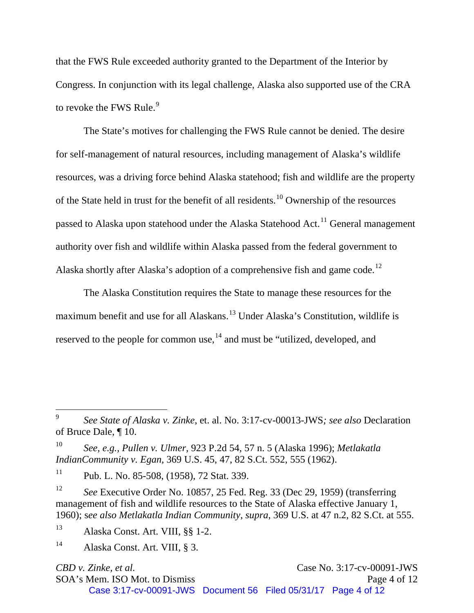that the FWS Rule exceeded authority granted to the Department of the Interior by Congress. In conjunction with its legal challenge, Alaska also supported use of the CRA to revoke the FWS Rule.<sup>[9](#page-3-0)</sup>

The State's motives for challenging the FWS Rule cannot be denied. The desire for self-management of natural resources, including management of Alaska's wildlife resources, was a driving force behind Alaska statehood; fish and wildlife are the property of the State held in trust for the benefit of all residents.<sup>[10](#page-3-1)</sup> Ownership of the resources passed to Alaska upon statehood under the Alaska Statehood Act.<sup>[11](#page-3-2)</sup> General management authority over fish and wildlife within Alaska passed from the federal government to Alaska shortly after Alaska's adoption of a comprehensive fish and game code.<sup>[12](#page-3-3)</sup>

The Alaska Constitution requires the State to manage these resources for the maximum benefit and use for all Alaskans.[13](#page-3-4) Under Alaska's Constitution, wildlife is reserved to the people for common use,  $^{14}$  $^{14}$  $^{14}$  and must be "utilized, developed, and

 $\overline{a}$ 

SOA's Mem. ISO Mot. to Dismiss Page 4 of 12

<span id="page-3-0"></span><sup>9</sup> *See State of Alaska v. Zinke*, et. al. No. 3:17-cv-00013-JWS*; see also* Declaration of Bruce Dale, ¶ 10.

<span id="page-3-1"></span><sup>10</sup> *See, e.g., Pullen v. Ulmer*, 923 P.2d 54, 57 n. 5 (Alaska 1996); *Metlakatla IndianCommunity v. Egan*, 369 U.S. 45, 47, 82 S.Ct. 552, 555 (1962).

<span id="page-3-2"></span><sup>&</sup>lt;sup>11</sup> Pub. L. No. 85-508, (1958), 72 Stat. 339.

<span id="page-3-3"></span><sup>12</sup> *See* Executive Order No. 10857, 25 Fed. Reg. 33 (Dec 29, 1959) (transferring management of fish and wildlife resources to the State of Alaska effective January 1, 1960); s*ee also Metlakatla Indian Community*, *supra*, 369 U.S. at 47 n.2, 82 S.Ct. at 555.

<span id="page-3-4"></span><sup>13</sup> Alaska Const. Art. VIII, §§ 1-2.

<span id="page-3-5"></span><sup>14</sup> Alaska Const. Art. VIII, § 3.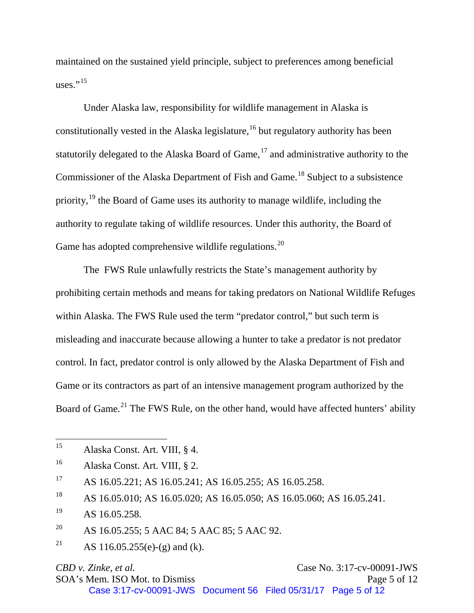maintained on the sustained yield principle, subject to preferences among beneficial uses." $15$ 

Under Alaska law, responsibility for wildlife management in Alaska is constitutionally vested in the Alaska legislature,  $16$  but regulatory authority has been statutorily delegated to the Alaska Board of Game,  $17$  and administrative authority to the Commissioner of the Alaska Department of Fish and Game.<sup>[18](#page-4-3)</sup> Subject to a subsistence priority, $19$  the Board of Game uses its authority to manage wildlife, including the authority to regulate taking of wildlife resources. Under this authority, the Board of Game has adopted comprehensive wildlife regulations.<sup>[20](#page-4-5)</sup>

The FWS Rule unlawfully restricts the State's management authority by prohibiting certain methods and means for taking predators on National Wildlife Refuges within Alaska. The FWS Rule used the term "predator control," but such term is misleading and inaccurate because allowing a hunter to take a predator is not predator control. In fact, predator control is only allowed by the Alaska Department of Fish and Game or its contractors as part of an intensive management program authorized by the Board of Game.<sup>[21](#page-4-6)</sup> The FWS Rule, on the other hand, would have affected hunters' ability

*CBD v. Zinke, et al.* **Case No. 3:17-cv-00091-JWS** SOA's Mem. ISO Mot. to Dismiss Page 5 of 12 Case 3:17-cv-00091-JWS Document 56 Filed 05/31/17 Page 5 of 12

<span id="page-4-0"></span><sup>15</sup> <sup>15</sup> Alaska Const. Art. VIII, § 4.

<span id="page-4-1"></span><sup>16</sup> Alaska Const. Art. VIII, § 2.

<span id="page-4-2"></span><sup>17</sup> AS 16.05.221; AS 16.05.241; AS 16.05.255; AS 16.05.258.

<span id="page-4-3"></span><sup>&</sup>lt;sup>18</sup> AS 16.05.010; AS 16.05.020; AS 16.05.050; AS 16.05.060; AS 16.05.241.

<span id="page-4-4"></span> $^{19}$  AS 16.05.258.

<span id="page-4-5"></span><sup>&</sup>lt;sup>20</sup> AS 16.05.255; 5 AAC 84; 5 AAC 85; 5 AAC 92.

<span id="page-4-6"></span><sup>&</sup>lt;sup>21</sup> AS 116.05.255(e)-(g) and (k).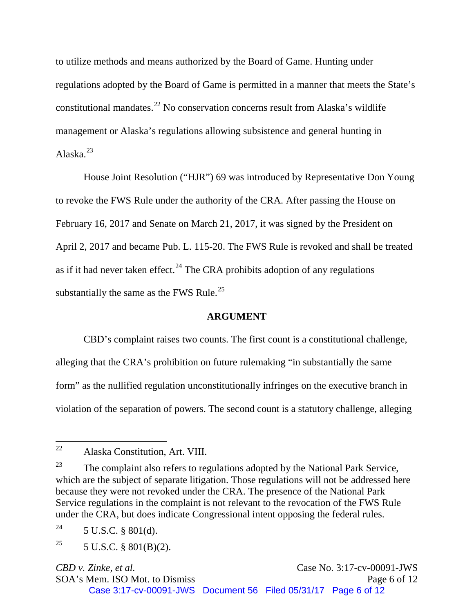to utilize methods and means authorized by the Board of Game. Hunting under regulations adopted by the Board of Game is permitted in a manner that meets the State's constitutional mandates.<sup>[22](#page-5-0)</sup> No conservation concerns result from Alaska's wildlife management or Alaska's regulations allowing subsistence and general hunting in Alaska $^{23}$  $^{23}$  $^{23}$ 

House Joint Resolution ("HJR") 69 was introduced by Representative Don Young to revoke the FWS Rule under the authority of the CRA. After passing the House on February 16, 2017 and Senate on March 21, 2017, it was signed by the President on April 2, 2017 and became Pub. L. 115-20. The FWS Rule is revoked and shall be treated as if it had never taken effect.<sup>[24](#page-5-2)</sup> The CRA prohibits adoption of any regulations substantially the same as the FWS Rule.<sup>[25](#page-5-3)</sup>

### **ARGUMENT**

CBD's complaint raises two counts. The first count is a constitutional challenge, alleging that the CRA's prohibition on future rulemaking "in substantially the same form" as the nullified regulation unconstitutionally infringes on the executive branch in violation of the separation of powers. The second count is a statutory challenge, alleging

*CBD v. Zinke, et al.* **Case No. 3:17-cv-00091-JWS** SOA's Mem. ISO Mot. to Dismiss Page 6 of 12 Case 3:17-cv-00091-JWS Document 56 Filed 05/31/17 Page 6 of 12

<span id="page-5-0"></span><sup>22</sup> Alaska Constitution, Art. VIII.

<span id="page-5-1"></span><sup>&</sup>lt;sup>23</sup> The complaint also refers to regulations adopted by the National Park Service, which are the subject of separate litigation. Those regulations will not be addressed here because they were not revoked under the CRA. The presence of the National Park Service regulations in the complaint is not relevant to the revocation of the FWS Rule under the CRA, but does indicate Congressional intent opposing the federal rules.

<span id="page-5-2"></span><sup>&</sup>lt;sup>24</sup> 5 U.S.C. § 801(d).

<span id="page-5-3"></span><sup>&</sup>lt;sup>25</sup> 5 U.S.C. § 801(B)(2).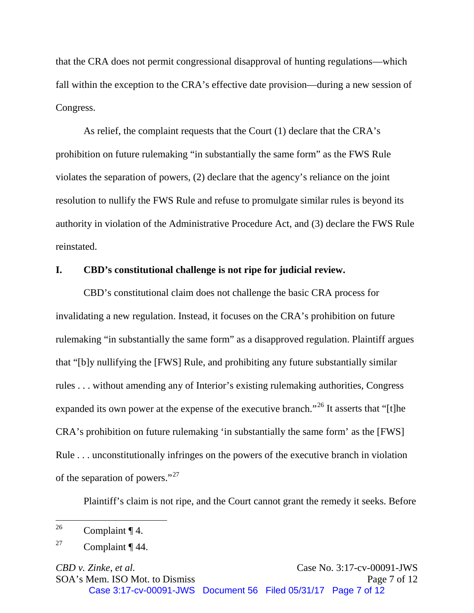that the CRA does not permit congressional disapproval of hunting regulations—which fall within the exception to the CRA's effective date provision—during a new session of Congress.

As relief, the complaint requests that the Court (1) declare that the CRA's prohibition on future rulemaking "in substantially the same form" as the FWS Rule violates the separation of powers, (2) declare that the agency's reliance on the joint resolution to nullify the FWS Rule and refuse to promulgate similar rules is beyond its authority in violation of the Administrative Procedure Act, and (3) declare the FWS Rule reinstated.

## **I. CBD's constitutional challenge is not ripe for judicial review.**

CBD's constitutional claim does not challenge the basic CRA process for invalidating a new regulation. Instead, it focuses on the CRA's prohibition on future rulemaking "in substantially the same form" as a disapproved regulation. Plaintiff argues that "[b]y nullifying the [FWS] Rule, and prohibiting any future substantially similar rules . . . without amending any of Interior's existing rulemaking authorities, Congress expanded its own power at the expense of the executive branch."<sup>[26](#page-6-0)</sup> It asserts that "[t]he CRA's prohibition on future rulemaking 'in substantially the same form' as the [FWS] Rule . . . unconstitutionally infringes on the powers of the executive branch in violation of the separation of powers."[27](#page-6-1)

Plaintiff's claim is not ripe, and the Court cannot grant the remedy it seeks. Before

*CBD v. Zinke, et al.* **Case No. 3:17-cv-00091-JWS** SOA's Mem. ISO Mot. to Dismiss Page 7 of 12 Case 3:17-cv-00091-JWS Document 56 Filed 05/31/17 Page 7 of 12

<span id="page-6-0"></span><sup>26</sup> Complaint  $\P$  4.

<span id="page-6-1"></span><sup>&</sup>lt;sup>27</sup> Complaint  $\P$  44.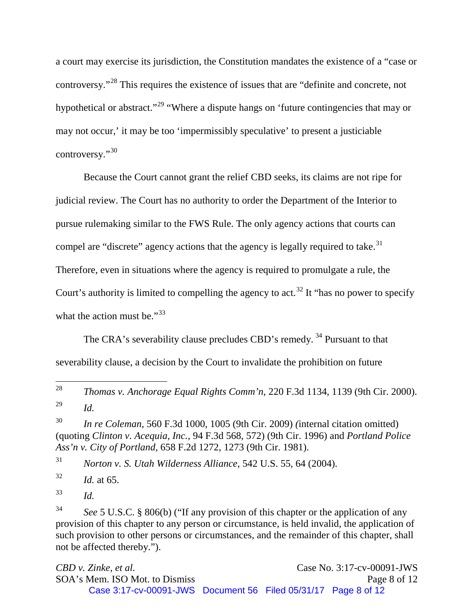a court may exercise its jurisdiction, the Constitution mandates the existence of a "case or controversy."[28](#page-7-0) This requires the existence of issues that are "definite and concrete, not hypothetical or abstract."<sup>[29](#page-7-1)</sup> "Where a dispute hangs on 'future contingencies that may or may not occur,' it may be too 'impermissibly speculative' to present a justiciable controversy."[30](#page-7-2)

Because the Court cannot grant the relief CBD seeks, its claims are not ripe for judicial review. The Court has no authority to order the Department of the Interior to pursue rulemaking similar to the FWS Rule. The only agency actions that courts can compel are "discrete" agency actions that the agency is legally required to take.<sup>[31](#page-7-3)</sup> Therefore, even in situations where the agency is required to promulgate a rule, the Court's authority is limited to compelling the agency to act.<sup>[32](#page-7-4)</sup> It "has no power to specify" what the action must be."<sup>[33](#page-7-5)</sup>

The CRA's severability clause precludes CBD's remedy.<sup>[34](#page-7-6)</sup> Pursuant to that severability clause, a decision by the Court to invalidate the prohibition on future

<span id="page-7-3"></span><sup>31</sup> *Norton v. S. Utah Wilderness Alliance*, 542 U.S. 55, 64 (2004).

<span id="page-7-4"></span> $^{32}$  *Id.* at 65.

<span id="page-7-5"></span><sup>33</sup> *Id.*

*CBD v. Zinke, et al.* Case No. 3:17-cv-00091-JWS SOA's Mem. ISO Mot. to Dismiss Page 8 of 12 Case 3:17-cv-00091-JWS Document 56 Filed 05/31/17 Page 8 of 12

<span id="page-7-0"></span><sup>28</sup> <sup>28</sup> *Thomas v. Anchorage Equal Rights Comm'n*, 220 F.3d 1134, 1139 (9th Cir. 2000). <sup>29</sup> *Id.*

<span id="page-7-2"></span><span id="page-7-1"></span><sup>30</sup> *In re Coleman*, 560 F.3d 1000, 1005 (9th Cir. 2009) *(*internal citation omitted) (quoting *Clinton v. Acequia, Inc.*, 94 F.3d 568, 572) (9th Cir. 1996) and *Portland Police Ass'n v. City of Portland*, 658 F.2d 1272, 1273 (9th Cir. 1981).

<span id="page-7-6"></span><sup>34</sup> *See* 5 U.S.C. § 806(b) ("If any provision of this chapter or the application of any provision of this chapter to any person or circumstance, is held invalid, the application of such provision to other persons or circumstances, and the remainder of this chapter, shall not be affected thereby.").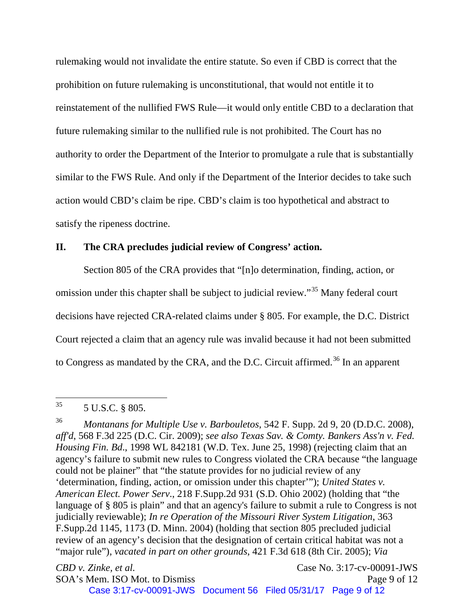rulemaking would not invalidate the entire statute. So even if CBD is correct that the prohibition on future rulemaking is unconstitutional, that would not entitle it to reinstatement of the nullified FWS Rule—it would only entitle CBD to a declaration that future rulemaking similar to the nullified rule is not prohibited. The Court has no authority to order the Department of the Interior to promulgate a rule that is substantially similar to the FWS Rule. And only if the Department of the Interior decides to take such action would CBD's claim be ripe. CBD's claim is too hypothetical and abstract to satisfy the ripeness doctrine.

#### **II. The CRA precludes judicial review of Congress' action.**

Section 805 of the CRA provides that "[n]o determination, finding, action, or omission under this chapter shall be subject to judicial review."<sup>[35](#page-8-0)</sup> Many federal court decisions have rejected CRA-related claims under § 805. For example, the D.C. District Court rejected a claim that an agency rule was invalid because it had not been submitted to Congress as mandated by the CRA, and the D.C. Circuit affirmed.<sup>[36](#page-8-1)</sup> In an apparent

*CBD v. Zinke, et al.* Case No. 3:17-cv-00091-JWS SOA's Mem. ISO Mot. to Dismiss Page 9 of 12 Case 3:17-cv-00091-JWS Document 56 Filed 05/31/17 Page 9 of 12

<span id="page-8-0"></span><sup>35</sup> <sup>35</sup> 5 U.S.C. § 805.

<span id="page-8-1"></span><sup>36</sup> *Montanans for Multiple Use v. Barbouletos*, 542 F. Supp. 2d 9, 20 (D.D.C. 2008), *aff'd*, 568 F.3d 225 (D.C. Cir. 2009); *see also Texas Sav. & Comty. Bankers Ass'n v. Fed. Housing Fin. Bd*., 1998 WL 842181 (W.D. Tex. June 25, 1998) (rejecting claim that an agency's failure to submit new rules to Congress violated the CRA because "the language could not be plainer" that "the statute provides for no judicial review of any 'determination, finding, action, or omission under this chapter'"); *United States v. American Elect. Power Serv*., 218 F.Supp.2d 931 (S.D. Ohio 2002) (holding that "the language of § 805 is plain" and that an agency's failure to submit a rule to Congress is not judicially reviewable); *In re Operation of the Missouri River System Litigation*, 363 F.Supp.2d 1145, 1173 (D. Minn. 2004) (holding that section 805 precluded judicial review of an agency's decision that the designation of certain critical habitat was not a "major rule"), *vacated in part on other grounds*, 421 F.3d 618 (8th Cir. 2005); *Via*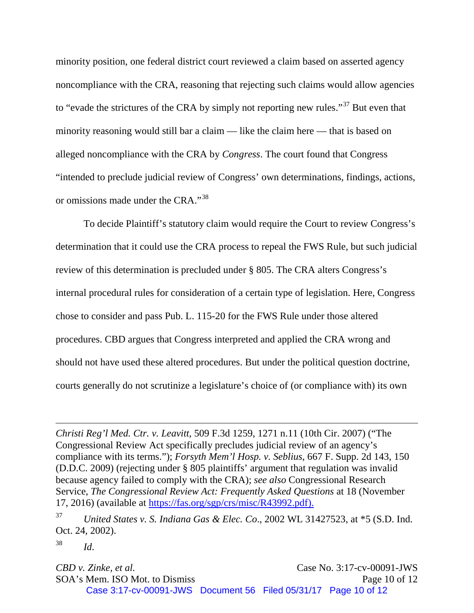minority position, one federal district court reviewed a claim based on asserted agency noncompliance with the CRA, reasoning that rejecting such claims would allow agencies to "evade the strictures of the CRA by simply not reporting new rules."<sup>[37](#page-9-0)</sup> But even that minority reasoning would still bar a claim — like the claim here — that is based on alleged noncompliance with the CRA by *Congress*. The court found that Congress "intended to preclude judicial review of Congress' own determinations, findings, actions, or omissions made under the CRA."[38](#page-9-1)

To decide Plaintiff's statutory claim would require the Court to review Congress's determination that it could use the CRA process to repeal the FWS Rule, but such judicial review of this determination is precluded under § 805. The CRA alters Congress's internal procedural rules for consideration of a certain type of legislation. Here, Congress chose to consider and pass Pub. L. 115-20 for the FWS Rule under those altered procedures. CBD argues that Congress interpreted and applied the CRA wrong and should not have used these altered procedures. But under the political question doctrine, courts generally do not scrutinize a legislature's choice of (or compliance with) its own

 $\overline{a}$ 

*CBD v. Zinke, et al.* Case No. 3:17-cv-00091-JWS SOA's Mem. ISO Mot. to Dismiss Page 10 of 12 Case 3:17-cv-00091-JWS Document 56 Filed 05/31/17 Page 10 of 12

*Christi Reg'l Med. Ctr. v. Leavitt*, 509 F.3d 1259, 1271 n.11 (10th Cir. 2007) ("The Congressional Review Act specifically precludes judicial review of an agency's compliance with its terms."); *Forsyth Mem'l Hosp. v. Seblius*, 667 F. Supp. 2d 143, 150 (D.D.C. 2009) (rejecting under § 805 plaintiffs' argument that regulation was invalid because agency failed to comply with the CRA); *see also* Congressional Research Service, *The Congressional Review Act: Frequently Asked Questions* at 18 (November 17, 2016) (available at [https://fas.org/sgp/crs/misc/R43992.pdf\)](https://fas.org/sgp/crs/misc/R43992.pdf).

<span id="page-9-0"></span><sup>37</sup> *United States v. S. Indiana Gas & Elec. Co*., 2002 WL 31427523, at \*5 (S.D. Ind. Oct. 24, 2002).

<span id="page-9-1"></span><sup>38</sup> *Id*.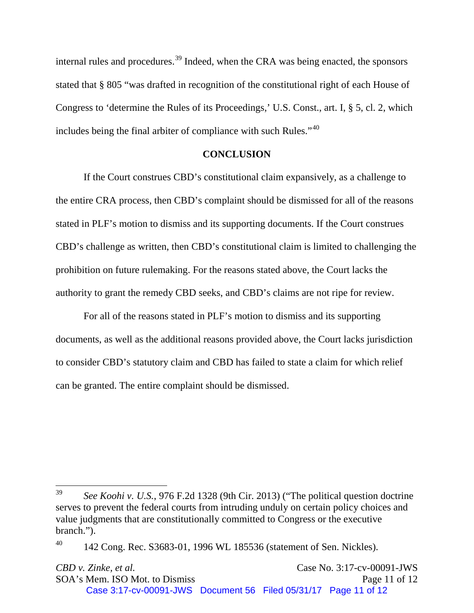internal rules and procedures.<sup>[39](#page-10-0)</sup> Indeed, when the CRA was being enacted, the sponsors stated that § 805 "was drafted in recognition of the constitutional right of each House of Congress to 'determine the Rules of its Proceedings,' U.S. Const., art. I, § 5, cl. 2, which includes being the final arbiter of compliance with such Rules."<sup>[40](#page-10-1)</sup>

#### **CONCLUSION**

If the Court construes CBD's constitutional claim expansively, as a challenge to the entire CRA process, then CBD's complaint should be dismissed for all of the reasons stated in PLF's motion to dismiss and its supporting documents. If the Court construes CBD's challenge as written, then CBD's constitutional claim is limited to challenging the prohibition on future rulemaking. For the reasons stated above, the Court lacks the authority to grant the remedy CBD seeks, and CBD's claims are not ripe for review.

For all of the reasons stated in PLF's motion to dismiss and its supporting documents, as well as the additional reasons provided above, the Court lacks jurisdiction to consider CBD's statutory claim and CBD has failed to state a claim for which relief can be granted. The entire complaint should be dismissed.

<span id="page-10-0"></span><sup>39</sup> <sup>39</sup> *See Koohi v. U.S.*, 976 F.2d 1328 (9th Cir. 2013) ("The political question doctrine serves to prevent the federal courts from intruding unduly on certain policy choices and value judgments that are constitutionally committed to Congress or the executive branch.").

<span id="page-10-1"></span> $^{40}$  142 Cong. Rec. S3683-01, 1996 WL 185536 (statement of Sen. Nickles).